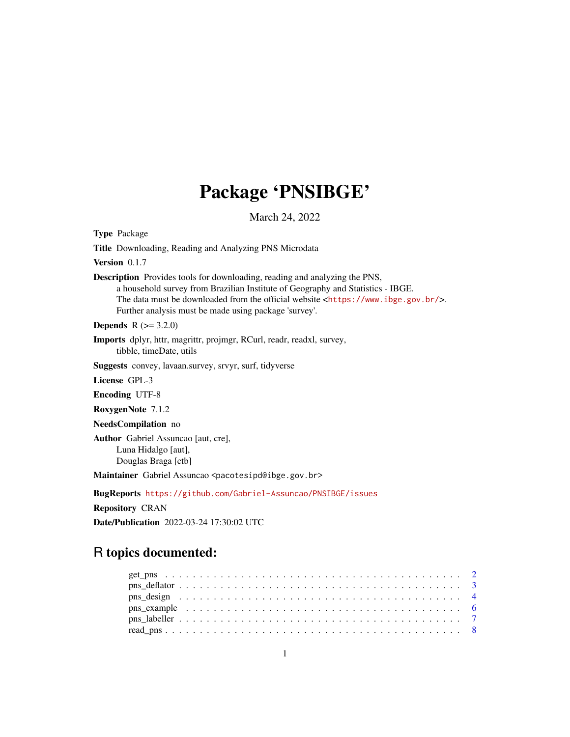# Package 'PNSIBGE'

March 24, 2022

Type Package Title Downloading, Reading and Analyzing PNS Microdata Version 0.1.7 Description Provides tools for downloading, reading and analyzing the PNS, a household survey from Brazilian Institute of Geography and Statistics - IBGE. The data must be downloaded from the official website <<https://www.ibge.gov.br/>>. Further analysis must be made using package 'survey'. **Depends**  $R (= 3.2.0)$ Imports dplyr, httr, magrittr, projmgr, RCurl, readr, readxl, survey, tibble, timeDate, utils Suggests convey, lavaan.survey, srvyr, surf, tidyverse License GPL-3 Encoding UTF-8 RoxygenNote 7.1.2 NeedsCompilation no Author Gabriel Assuncao [aut, cre], Luna Hidalgo [aut], Douglas Braga [ctb] Maintainer Gabriel Assuncao <pacotesipd@ibge.gov.br> BugReports <https://github.com/Gabriel-Assuncao/PNSIBGE/issues> Repository CRAN

# Date/Publication 2022-03-24 17:30:02 UTC

# R topics documented: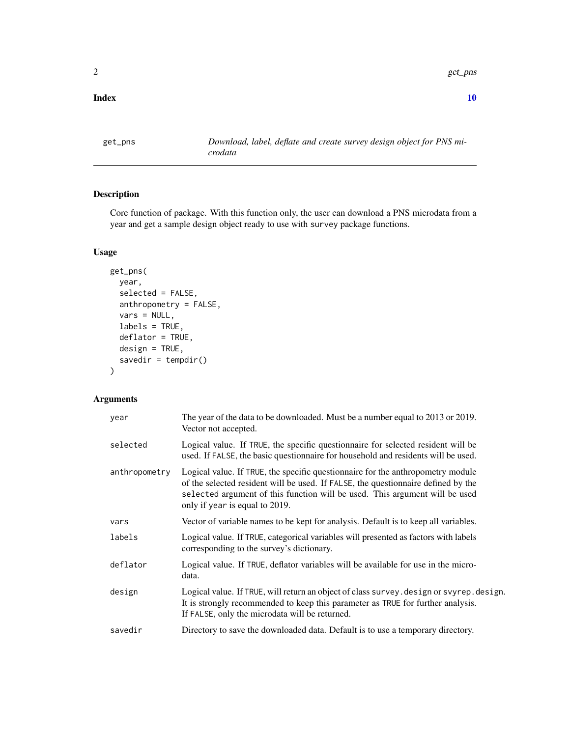<span id="page-1-0"></span>2 get\_pns

#### $\blacksquare$

<span id="page-1-1"></span>get\_pns *Download, label, deflate and create survey design object for PNS microdata*

# Description

Core function of package. With this function only, the user can download a PNS microdata from a year and get a sample design object ready to use with survey package functions.

#### Usage

```
get_pns(
 year,
  selected = FALSE,
  anthropometry = FALSE,
 vars = NULL,
  labels = TRUE,
  deflator = TRUE,
 design = TRUE,
  savedir = tempdir())
```
# Arguments

| year          | The year of the data to be downloaded. Must be a number equal to 2013 or 2019.<br>Vector not accepted.                                                                                                                                                                                |
|---------------|---------------------------------------------------------------------------------------------------------------------------------------------------------------------------------------------------------------------------------------------------------------------------------------|
| selected      | Logical value. If TRUE, the specific questionnaire for selected resident will be<br>used. If FALSE, the basic questionnaire for household and residents will be used.                                                                                                                 |
| anthropometry | Logical value. If TRUE, the specific questionnaire for the anthropometry module<br>of the selected resident will be used. If FALSE, the questionnaire defined by the<br>selected argument of this function will be used. This argument will be used<br>only if year is equal to 2019. |
| vars          | Vector of variable names to be kept for analysis. Default is to keep all variables.                                                                                                                                                                                                   |
| labels        | Logical value. If TRUE, categorical variables will presented as factors with labels<br>corresponding to the survey's dictionary.                                                                                                                                                      |
| deflator      | Logical value. If TRUE, deflator variables will be available for use in the micro-<br>data.                                                                                                                                                                                           |
| design        | Logical value. If TRUE, will return an object of class survey. design or svyrep. design.<br>It is strongly recommended to keep this parameter as TRUE for further analysis.<br>If FALSE, only the microdata will be returned.                                                         |
| savedir       | Directory to save the downloaded data. Default is to use a temporary directory.                                                                                                                                                                                                       |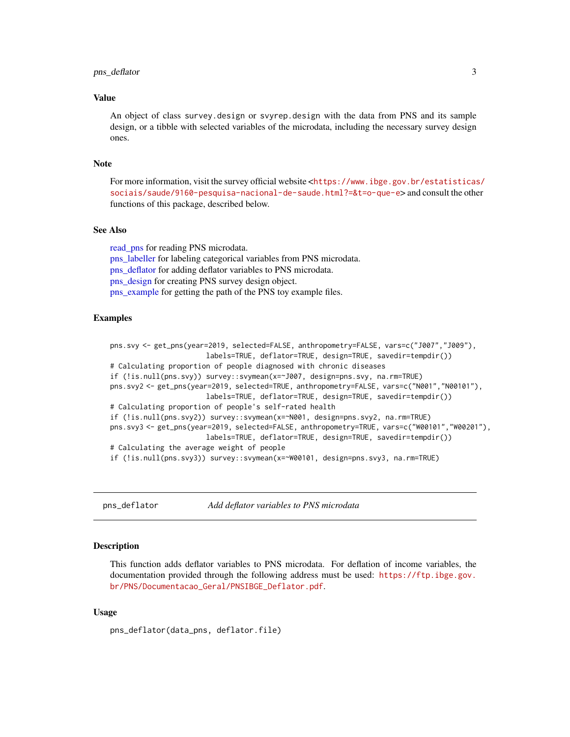#### <span id="page-2-0"></span>pns\_deflator 3

#### Value

An object of class survey.design or svyrep.design with the data from PNS and its sample design, or a tibble with selected variables of the microdata, including the necessary survey design ones.

#### Note

For more information, visit the survey official website <[https://www.ibge.gov.br/estatisticas](https://www.ibge.gov.br/estatisticas/sociais/saude/9160-pesquisa-nacional-de-saude.html?=&t=o-que-e)/ [sociais/saude/9160-pesquisa-nacional-de-saude.html?=&t=o-que-e](https://www.ibge.gov.br/estatisticas/sociais/saude/9160-pesquisa-nacional-de-saude.html?=&t=o-que-e)> and consult the other functions of this package, described below.

#### See Also

read pns for reading PNS microdata. [pns\\_labeller](#page-6-1) for labeling categorical variables from PNS microdata. [pns\\_deflator](#page-2-1) for adding deflator variables to PNS microdata. [pns\\_design](#page-3-1) for creating PNS survey design object. [pns\\_example](#page-5-1) for getting the path of the PNS toy example files.

#### Examples

```
pns.svy <- get_pns(year=2019, selected=FALSE, anthropometry=FALSE, vars=c("J007","J009"),
                       labels=TRUE, deflator=TRUE, design=TRUE, savedir=tempdir())
# Calculating proportion of people diagnosed with chronic diseases
if (!is.null(pns.svy)) survey::svymean(x=~J007, design=pns.svy, na.rm=TRUE)
pns.svy2 <- get_pns(year=2019, selected=TRUE, anthropometry=FALSE, vars=c("N001","N00101"),
                       labels=TRUE, deflator=TRUE, design=TRUE, savedir=tempdir())
# Calculating proportion of people's self-rated health
if (!is.null(pns.svy2)) survey::svymean(x=~N001, design=pns.svy2, na.rm=TRUE)
pns.svy3 <- get_pns(year=2019, selected=FALSE, anthropometry=TRUE, vars=c("W00101","W00201"),
                       labels=TRUE, deflator=TRUE, design=TRUE, savedir=tempdir())
# Calculating the average weight of people
if (!is.null(pns.svy3)) survey::svymean(x=~W00101, design=pns.svy3, na.rm=TRUE)
```
<span id="page-2-1"></span>pns\_deflator *Add deflator variables to PNS microdata*

#### Description

This function adds deflator variables to PNS microdata. For deflation of income variables, the documentation provided through the following address must be used: [https://ftp.ibge.gov.](https://ftp.ibge.gov.br/PNS/Documentacao_Geral/PNSIBGE_Deflator.pdf) [br/PNS/Documentacao\\_Geral/PNSIBGE\\_Deflator.pdf](https://ftp.ibge.gov.br/PNS/Documentacao_Geral/PNSIBGE_Deflator.pdf).

#### Usage

pns\_deflator(data\_pns, deflator.file)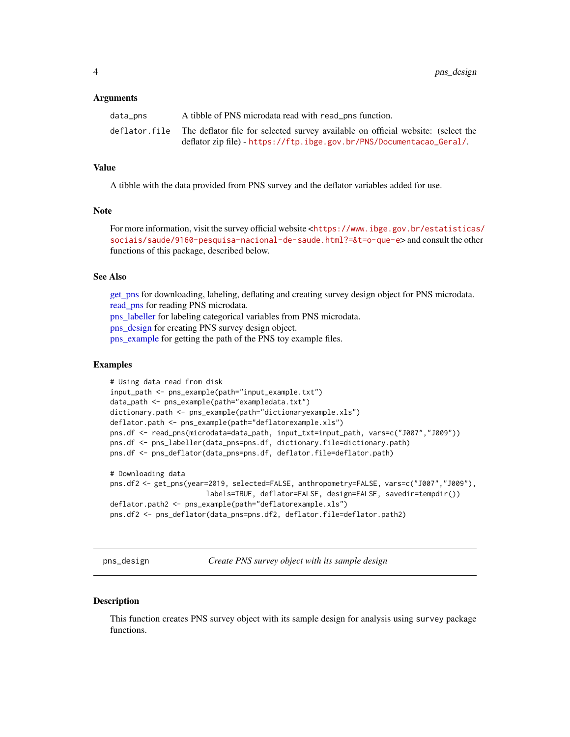#### <span id="page-3-0"></span>Arguments

| data_pns | A tibble of PNS microdata read with read_pns function.                                         |
|----------|------------------------------------------------------------------------------------------------|
|          | deflator file The deflator file for selected survey available on official website: (select the |
|          | deflator zip file) - https://ftp.ibge.gov.br/PNS/Documentacao_Geral/.                          |

#### Value

A tibble with the data provided from PNS survey and the deflator variables added for use.

#### Note

For more information, visit the survey official website <[https://www.ibge.gov.br/estatisticas](https://www.ibge.gov.br/estatisticas/sociais/saude/9160-pesquisa-nacional-de-saude.html?=&t=o-que-e)/ [sociais/saude/9160-pesquisa-nacional-de-saude.html?=&t=o-que-e](https://www.ibge.gov.br/estatisticas/sociais/saude/9160-pesquisa-nacional-de-saude.html?=&t=o-que-e)> and consult the other functions of this package, described below.

#### See Also

get pns for downloading, labeling, deflating and creating survey design object for PNS microdata. [read\\_pns](#page-7-1) for reading PNS microdata. [pns\\_labeller](#page-6-1) for labeling categorical variables from PNS microdata. [pns\\_design](#page-3-1) for creating PNS survey design object. pns example for getting the path of the PNS toy example files.

#### Examples

```
# Using data read from disk
input_path <- pns_example(path="input_example.txt")
data_path <- pns_example(path="exampledata.txt")
dictionary.path <- pns_example(path="dictionaryexample.xls")
deflator.path <- pns_example(path="deflatorexample.xls")
pns.df <- read_pns(microdata=data_path, input_txt=input_path, vars=c("J007","J009"))
pns.df <- pns_labeller(data_pns=pns.df, dictionary.file=dictionary.path)
pns.df <- pns_deflator(data_pns=pns.df, deflator.file=deflator.path)
# Downloading data
pns.df2 <- get_pns(year=2019, selected=FALSE, anthropometry=FALSE, vars=c("J007","J009"),
```

```
labels=TRUE, deflator=FALSE, design=FALSE, savedir=tempdir())
deflator.path2 <- pns_example(path="deflatorexample.xls")
pns.df2 <- pns_deflator(data_pns=pns.df2, deflator.file=deflator.path2)
```
<span id="page-3-1"></span>pns\_design *Create PNS survey object with its sample design*

#### **Description**

This function creates PNS survey object with its sample design for analysis using survey package functions.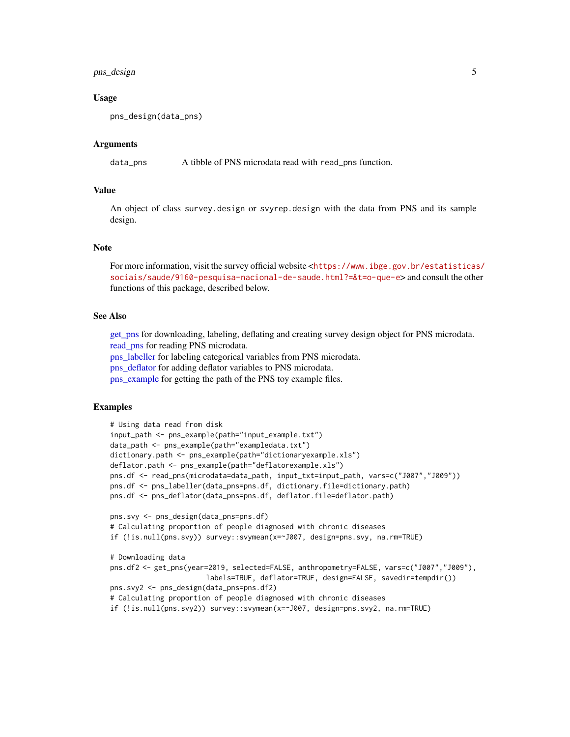# <span id="page-4-0"></span>pns\_design 5

#### Usage

```
pns_design(data_pns)
```
#### Arguments

data\_pns A tibble of PNS microdata read with read\_pns function.

# Value

An object of class survey.design or svyrep.design with the data from PNS and its sample design.

#### Note

For more information, visit the survey official website <[https://www.ibge.gov.br/estatisticas](https://www.ibge.gov.br/estatisticas/sociais/saude/9160-pesquisa-nacional-de-saude.html?=&t=o-que-e)/ [sociais/saude/9160-pesquisa-nacional-de-saude.html?=&t=o-que-e](https://www.ibge.gov.br/estatisticas/sociais/saude/9160-pesquisa-nacional-de-saude.html?=&t=o-que-e)> and consult the other functions of this package, described below.

#### See Also

[get\\_pns](#page-1-1) for downloading, labeling, deflating and creating survey design object for PNS microdata. [read\\_pns](#page-7-1) for reading PNS microdata.

[pns\\_labeller](#page-6-1) for labeling categorical variables from PNS microdata.

[pns\\_deflator](#page-2-1) for adding deflator variables to PNS microdata.

[pns\\_example](#page-5-1) for getting the path of the PNS toy example files.

#### Examples

```
# Using data read from disk
input_path <- pns_example(path="input_example.txt")
data_path <- pns_example(path="exampledata.txt")
dictionary.path <- pns_example(path="dictionaryexample.xls")
deflator.path <- pns_example(path="deflatorexample.xls")
pns.df <- read_pns(microdata=data_path, input_txt=input_path, vars=c("J007","J009"))
pns.df <- pns_labeller(data_pns=pns.df, dictionary.file=dictionary.path)
pns.df <- pns_deflator(data_pns=pns.df, deflator.file=deflator.path)
pns.svy <- pns_design(data_pns=pns.df)
# Calculating proportion of people diagnosed with chronic diseases
if (!is.null(pns.svy)) survey::svymean(x=~J007, design=pns.svy, na.rm=TRUE)
# Downloading data
pns.df2 <- get_pns(year=2019, selected=FALSE, anthropometry=FALSE, vars=c("J007","J009"),
                       labels=TRUE, deflator=TRUE, design=FALSE, savedir=tempdir())
pns.svy2 <- pns_design(data_pns=pns.df2)
# Calculating proportion of people diagnosed with chronic diseases
if (!is.null(pns.svy2)) survey::svymean(x=~J007, design=pns.svy2, na.rm=TRUE)
```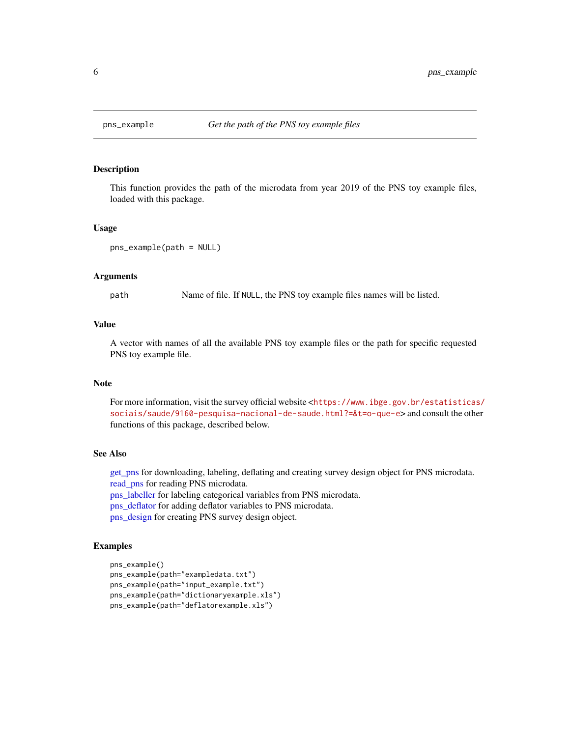<span id="page-5-1"></span><span id="page-5-0"></span>

### **Description**

This function provides the path of the microdata from year 2019 of the PNS toy example files, loaded with this package.

#### Usage

```
pns_example(path = NULL)
```
# Arguments

path Name of file. If NULL, the PNS toy example files names will be listed.

#### Value

A vector with names of all the available PNS toy example files or the path for specific requested PNS toy example file.

#### Note

For more information, visit the survey official website <[https://www.ibge.gov.br/estatisticas](https://www.ibge.gov.br/estatisticas/sociais/saude/9160-pesquisa-nacional-de-saude.html?=&t=o-que-e)/ [sociais/saude/9160-pesquisa-nacional-de-saude.html?=&t=o-que-e](https://www.ibge.gov.br/estatisticas/sociais/saude/9160-pesquisa-nacional-de-saude.html?=&t=o-que-e)> and consult the other functions of this package, described below.

#### See Also

[get\\_pns](#page-1-1) for downloading, labeling, deflating and creating survey design object for PNS microdata. read pns for reading PNS microdata.

[pns\\_labeller](#page-6-1) for labeling categorical variables from PNS microdata.

[pns\\_deflator](#page-2-1) for adding deflator variables to PNS microdata.

[pns\\_design](#page-3-1) for creating PNS survey design object.

#### Examples

```
pns_example()
pns_example(path="exampledata.txt")
pns_example(path="input_example.txt")
pns_example(path="dictionaryexample.xls")
pns_example(path="deflatorexample.xls")
```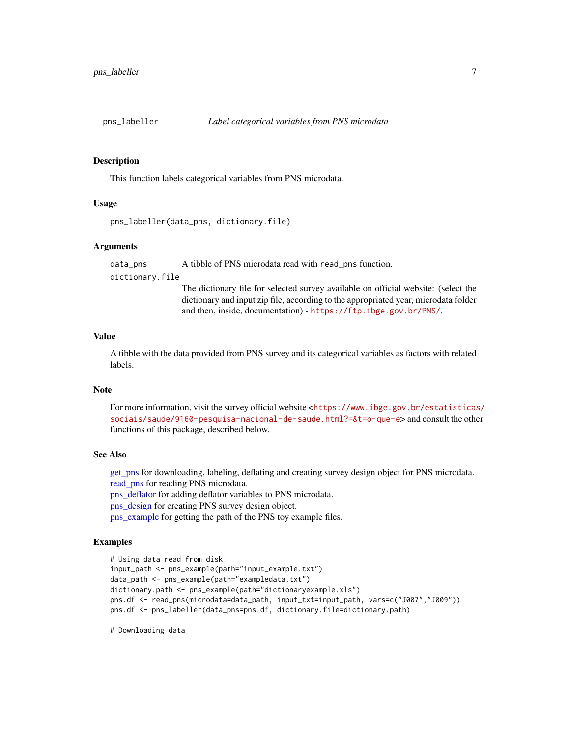<span id="page-6-1"></span><span id="page-6-0"></span>

#### Description

This function labels categorical variables from PNS microdata.

#### Usage

```
pns_labeller(data_pns, dictionary.file)
```
#### Arguments

data\_pns A tibble of PNS microdata read with read\_pns function.

#### dictionary.file

The dictionary file for selected survey available on official website: (select the dictionary and input zip file, according to the appropriated year, microdata folder and then, inside, documentation) - <https://ftp.ibge.gov.br/PNS/>.

#### Value

A tibble with the data provided from PNS survey and its categorical variables as factors with related labels.

# Note

For more information, visit the survey official website <[https://www.ibge.gov.br/estatisticas](https://www.ibge.gov.br/estatisticas/sociais/saude/9160-pesquisa-nacional-de-saude.html?=&t=o-que-e)/ [sociais/saude/9160-pesquisa-nacional-de-saude.html?=&t=o-que-e](https://www.ibge.gov.br/estatisticas/sociais/saude/9160-pesquisa-nacional-de-saude.html?=&t=o-que-e)> and consult the other functions of this package, described below.

#### See Also

[get\\_pns](#page-1-1) for downloading, labeling, deflating and creating survey design object for PNS microdata. read pns for reading PNS microdata. [pns\\_deflator](#page-2-1) for adding deflator variables to PNS microdata.

[pns\\_design](#page-3-1) for creating PNS survey design object.

[pns\\_example](#page-5-1) for getting the path of the PNS toy example files.

#### Examples

```
# Using data read from disk
input_path <- pns_example(path="input_example.txt")
data_path <- pns_example(path="exampledata.txt")
dictionary.path <- pns_example(path="dictionaryexample.xls")
pns.df <- read_pns(microdata=data_path, input_txt=input_path, vars=c("J007","J009"))
pns.df <- pns_labeller(data_pns=pns.df, dictionary.file=dictionary.path)
```
# Downloading data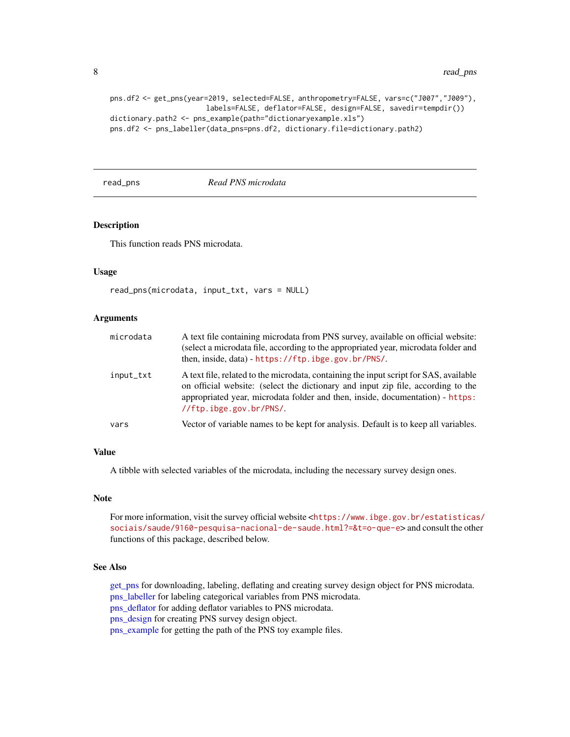```
pns.df2 <- get_pns(year=2019, selected=FALSE, anthropometry=FALSE, vars=c("J007","J009"),
                       labels=FALSE, deflator=FALSE, design=FALSE, savedir=tempdir())
dictionary.path2 <- pns_example(path="dictionaryexample.xls")
pns.df2 <- pns_labeller(data_pns=pns.df2, dictionary.file=dictionary.path2)
```
#### <span id="page-7-1"></span>read\_pns *Read PNS microdata*

# Description

This function reads PNS microdata.

#### Usage

```
read_pns(microdata, input_txt, vars = NULL)
```
#### Arguments

| microdata | A text file containing microdata from PNS survey, available on official website:<br>(select a microdata file, according to the appropriated year, microdata folder and<br>then, inside, data) - https://ftp.ibge.gov.br/PNS/.                                                         |
|-----------|---------------------------------------------------------------------------------------------------------------------------------------------------------------------------------------------------------------------------------------------------------------------------------------|
| input_txt | A text file, related to the microdata, containing the input script for SAS, available<br>on official website: (select the dictionary and input zip file, according to the<br>appropriated year, microdata folder and then, inside, documentation) - https:<br>//ftp.ibge.gov.br/PNS/. |
| vars      | Vector of variable names to be kept for analysis. Default is to keep all variables.                                                                                                                                                                                                   |

#### Value

A tibble with selected variables of the microdata, including the necessary survey design ones.

#### Note

For more information, visit the survey official website <[https://www.ibge.gov.br/estatisticas](https://www.ibge.gov.br/estatisticas/sociais/saude/9160-pesquisa-nacional-de-saude.html?=&t=o-que-e)/ [sociais/saude/9160-pesquisa-nacional-de-saude.html?=&t=o-que-e](https://www.ibge.gov.br/estatisticas/sociais/saude/9160-pesquisa-nacional-de-saude.html?=&t=o-que-e)> and consult the other functions of this package, described below.

#### See Also

[get\\_pns](#page-1-1) for downloading, labeling, deflating and creating survey design object for PNS microdata. [pns\\_labeller](#page-6-1) for labeling categorical variables from PNS microdata. [pns\\_deflator](#page-2-1) for adding deflator variables to PNS microdata. [pns\\_design](#page-3-1) for creating PNS survey design object. [pns\\_example](#page-5-1) for getting the path of the PNS toy example files.

<span id="page-7-0"></span>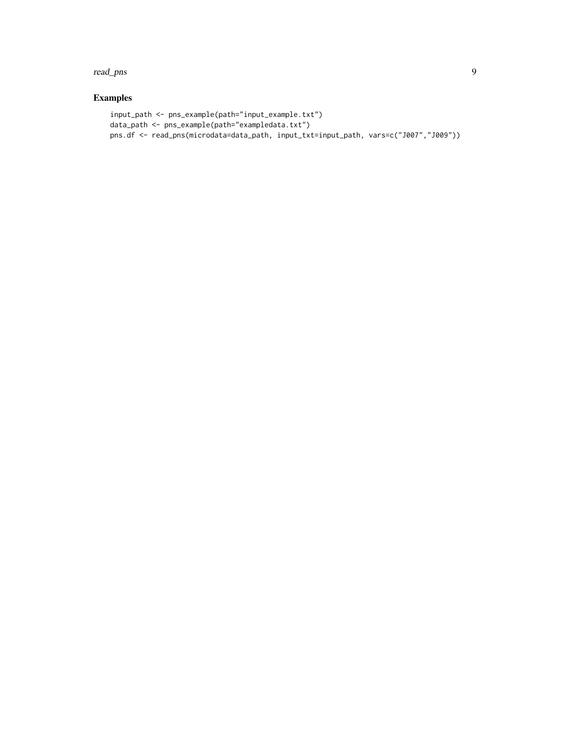#### read\_pns 9

# Examples

```
input_path <- pns_example(path="input_example.txt")
data_path <- pns_example(path="exampledata.txt")
pns.df <- read_pns(microdata=data_path, input_txt=input_path, vars=c("J007","J009"))
```